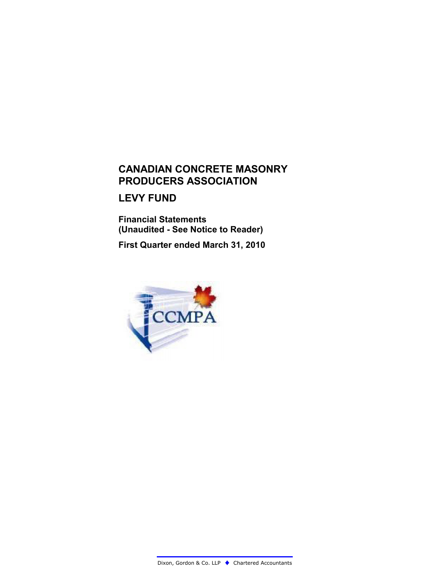## **CANADIAN CONCRETE MASONRY PRODUCERS ASSOCIATION**

### **LEVY FUND**

**Financial Statements (Unaudited - See Notice to Reader)**

**First Quarter ended March 31, 2010**

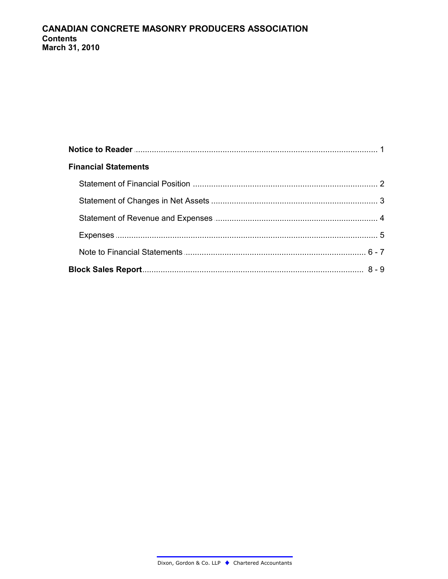| <b>Financial Statements</b> |  |
|-----------------------------|--|
|                             |  |
|                             |  |
|                             |  |
|                             |  |
|                             |  |
|                             |  |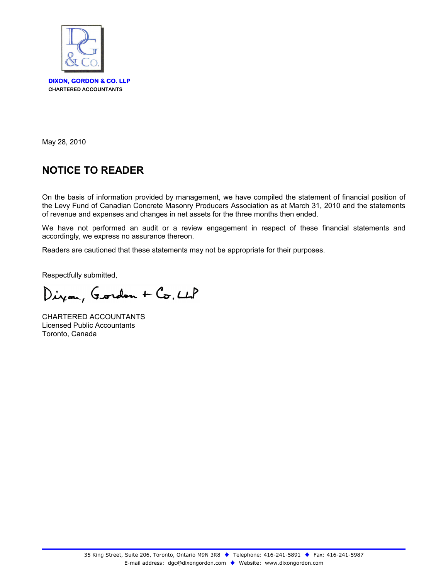

May 28, 2010

# **NOTICE TO READER**

On the basis of information provided by management, we have compiled the statement of financial position of the Levy Fund of Canadian Concrete Masonry Producers Association as at March 31, 2010 and the statements of revenue and expenses and changes in net assets for the three months then ended.

We have not performed an audit or a review engagement in respect of these financial statements and accordingly, we express no assurance thereon.

Readers are cautioned that these statements may not be appropriate for their purposes.

Respectfully submitted,

Dizon, Gordon + Co, LLP

CHARTERED ACCOUNTANTS Licensed Public Accountants Toronto, Canada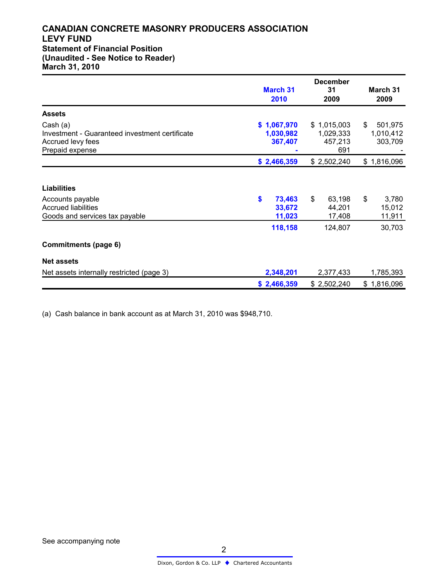#### **CANADIAN CONCRETE MASONRY PRODUCERS ASSOCIATION LEVY FUND Statement of Financial Position (Unaudited - See Notice to Reader) March 31, 2010**

|                                                                                                    | <b>March 31</b><br>2010             | <b>December</b><br>31<br>2009              | March 31<br>2009                      |
|----------------------------------------------------------------------------------------------------|-------------------------------------|--------------------------------------------|---------------------------------------|
| <b>Assets</b>                                                                                      |                                     |                                            |                                       |
| Cash (a)<br>Investment - Guaranteed investment certificate<br>Accrued levy fees<br>Prepaid expense | \$1,067,970<br>1,030,982<br>367,407 | \$1,015,003<br>1,029,333<br>457,213<br>691 | \$<br>501,975<br>1,010,412<br>303,709 |
|                                                                                                    | \$2,466,359                         | \$2,502,240                                | \$1,816,096                           |
| <b>Liabilities</b>                                                                                 |                                     |                                            |                                       |
| Accounts payable<br><b>Accrued liabilities</b><br>Goods and services tax payable                   | \$<br>73,463<br>33,672<br>11,023    | \$<br>63,198<br>44,201<br>17,408           | \$<br>3,780<br>15,012<br>11,911       |
|                                                                                                    | 118,158                             | 124,807                                    | 30,703                                |
| <b>Commitments (page 6)</b>                                                                        |                                     |                                            |                                       |
| <b>Net assets</b>                                                                                  |                                     |                                            |                                       |
| Net assets internally restricted (page 3)                                                          | 2,348,201                           | 2,377,433                                  | 1,785,393                             |
|                                                                                                    | \$2,466,359                         | \$2,502,240                                | \$1,816,096                           |

(a) Cash balance in bank account as at March 31, 2010 was \$948,710.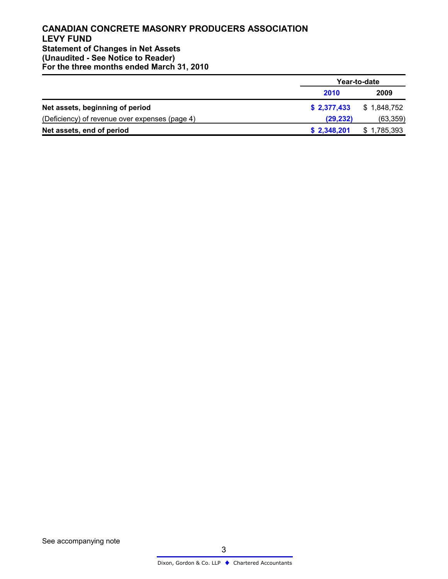#### **CANADIAN CONCRETE MASONRY PRODUCERS ASSOCIATION LEVY FUND Statement of Changes in Net Assets (Unaudited - See Notice to Reader) For the three months ended March 31, 2010**

|                                                |             | Year-to-date |
|------------------------------------------------|-------------|--------------|
|                                                | 2010        | 2009         |
| Net assets, beginning of period                | \$2,377,433 | \$1,848,752  |
| (Deficiency) of revenue over expenses (page 4) | (29, 232)   | (63, 359)    |
| Net assets, end of period                      | \$2,348,201 | \$1,785,393  |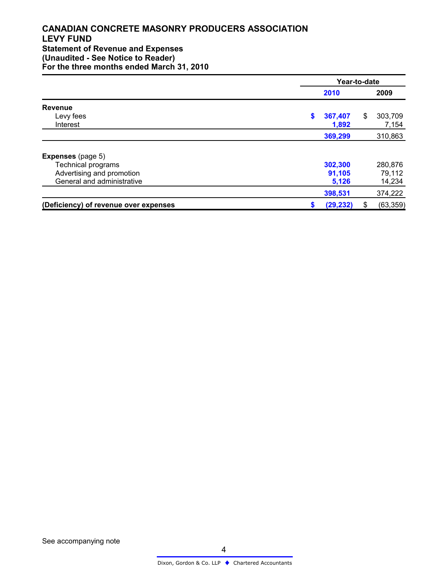#### **CANADIAN CONCRETE MASONRY PRODUCERS ASSOCIATION LEVY FUND Statement of Revenue and Expenses (Unaudited - See Notice to Reader) For the three months ended March 31, 2010**

|                                       | Year-to-date |           |        |           |  |  |
|---------------------------------------|--------------|-----------|--------|-----------|--|--|
|                                       |              | 2010      |        |           |  |  |
| <b>Revenue</b>                        |              | \$        |        |           |  |  |
| Levy fees<br>Interest                 |              | 367,407   | \$     | 303,709   |  |  |
|                                       |              | 1,892     |        | 7,154     |  |  |
|                                       |              | 369,299   |        | 310,863   |  |  |
| <b>Expenses</b> (page 5)              |              |           |        |           |  |  |
| <b>Technical programs</b>             |              | 302,300   |        | 280,876   |  |  |
| Advertising and promotion             |              | 91,105    |        | 79,112    |  |  |
| General and administrative            | 5,126        |           | 14,234 |           |  |  |
|                                       |              | 398,531   |        | 374,222   |  |  |
| (Deficiency) of revenue over expenses |              | (29, 232) | \$     | (63, 359) |  |  |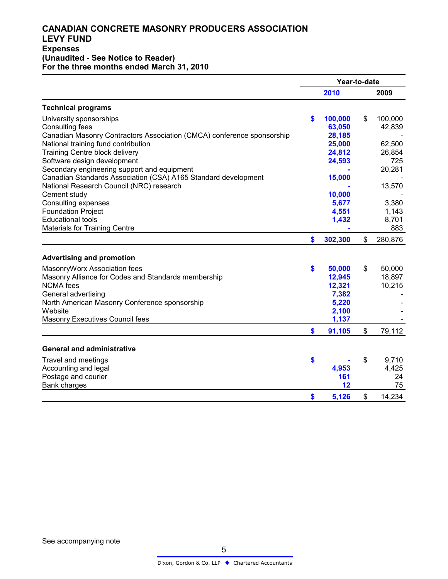#### **CANADIAN CONCRETE MASONRY PRODUCERS ASSOCIATION LEVY FUND Expenses (Unaudited - See Notice to Reader) For the three months ended March 31, 2010**

|                                                                        | Year-to-date |         |                |         |  |
|------------------------------------------------------------------------|--------------|---------|----------------|---------|--|
|                                                                        |              | 2010    |                | 2009    |  |
| <b>Technical programs</b>                                              |              |         |                |         |  |
| University sponsorships                                                | \$           | 100,000 | \$             | 100,000 |  |
| <b>Consulting fees</b>                                                 |              | 63,050  |                | 42,839  |  |
| Canadian Masonry Contractors Association (CMCA) conference sponsorship |              | 28,185  |                |         |  |
| National training fund contribution                                    |              | 25,000  |                | 62,500  |  |
| <b>Training Centre block delivery</b>                                  |              | 24,812  |                | 26,854  |  |
| Software design development                                            |              | 24,593  |                | 725     |  |
| Secondary engineering support and equipment                            |              |         |                | 20,281  |  |
| Canadian Standards Association (CSA) A165 Standard development         |              | 15,000  |                |         |  |
| National Research Council (NRC) research                               |              |         |                | 13,570  |  |
| Cement study                                                           |              | 10,000  |                |         |  |
| Consulting expenses                                                    |              | 5,677   |                | 3,380   |  |
| <b>Foundation Project</b>                                              |              | 4,551   |                | 1,143   |  |
| <b>Educational tools</b>                                               |              | 1,432   |                | 8,701   |  |
| <b>Materials for Training Centre</b>                                   |              |         |                | 883     |  |
|                                                                        | \$           | 302,300 | $\mathfrak{S}$ | 280,876 |  |
|                                                                        |              |         |                |         |  |
| <b>Advertising and promotion</b>                                       |              |         |                |         |  |
| MasonryWorx Association fees                                           | \$           | 50,000  | \$             | 50,000  |  |
| Masonry Alliance for Codes and Standards membership                    |              | 12,945  |                | 18,897  |  |
| <b>NCMA</b> fees                                                       |              | 12,321  |                | 10,215  |  |
| General advertising                                                    |              | 7,382   |                |         |  |
| North American Masonry Conference sponsorship                          |              | 5,220   |                |         |  |
| Website                                                                |              | 2,100   |                |         |  |
| Masonry Executives Council fees                                        |              | 1,137   |                |         |  |
|                                                                        | \$           | 91,105  | $\mathfrak{S}$ | 79,112  |  |
|                                                                        |              |         |                |         |  |
| <b>General and administrative</b>                                      |              |         |                |         |  |
| Travel and meetings                                                    | \$           |         | \$             | 9,710   |  |
| Accounting and legal                                                   |              | 4,953   |                | 4,425   |  |
| Postage and courier                                                    |              | 161     |                | 24      |  |
| Bank charges                                                           |              | 12      |                | 75      |  |
|                                                                        | \$           | 5,126   | \$             | 14,234  |  |

See accompanying note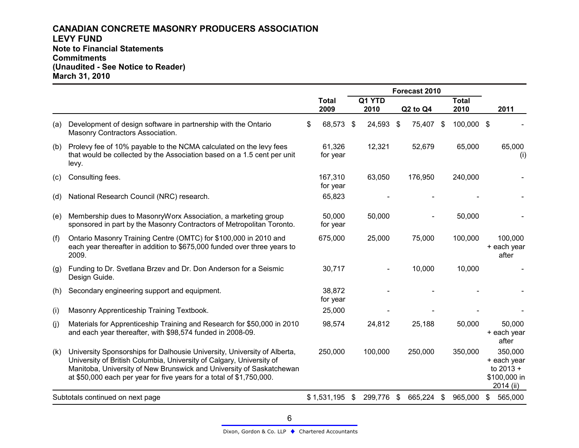#### **CANADIAN CONCRETE MASONRY PRODUCERS ASSOCIATION LEVY FUND Note to Financial Statements Commitments (Unaudited - See Notice to Reader) March 31, 2010**

|     |                                                                                                                                                                                                                                                                                                  | Forecast 2010        |    |                |  |          |                           |                      |                                                                    |
|-----|--------------------------------------------------------------------------------------------------------------------------------------------------------------------------------------------------------------------------------------------------------------------------------------------------|----------------------|----|----------------|--|----------|---------------------------|----------------------|--------------------------------------------------------------------|
|     |                                                                                                                                                                                                                                                                                                  | <b>Total</b><br>2009 |    | Q1 YTD<br>2010 |  | Q2 to Q4 |                           | <b>Total</b><br>2010 | 2011                                                               |
| (a) | Development of design software in partnership with the Ontario<br>Masonry Contractors Association.                                                                                                                                                                                               | \$<br>68,573         | \$ | 24,593 \$      |  | 75,407   | \$                        | 100,000 \$           |                                                                    |
| (b) | Prolevy fee of 10% payable to the NCMA calculated on the levy fees<br>that would be collected by the Association based on a 1.5 cent per unit<br>levy.                                                                                                                                           | 61,326<br>for year   |    | 12,321         |  | 52,679   |                           | 65,000               | 65,000<br>(i)                                                      |
| (c) | Consulting fees.                                                                                                                                                                                                                                                                                 | 167,310<br>for year  |    | 63,050         |  | 176,950  |                           | 240,000              |                                                                    |
| (d) | National Research Council (NRC) research.                                                                                                                                                                                                                                                        | 65,823               |    |                |  |          |                           |                      |                                                                    |
| (e) | Membership dues to MasonryWorx Association, a marketing group<br>sponsored in part by the Masonry Contractors of Metropolitan Toronto.                                                                                                                                                           | 50,000<br>for year   |    | 50,000         |  |          |                           | 50,000               |                                                                    |
| (f) | Ontario Masonry Training Centre (OMTC) for \$100,000 in 2010 and<br>each year thereafter in addition to \$675,000 funded over three years to<br>2009.                                                                                                                                            | 675,000              |    | 25,000         |  | 75,000   |                           | 100,000              | 100,000<br>+ each year<br>after                                    |
| (g) | Funding to Dr. Svetlana Brzev and Dr. Don Anderson for a Seismic<br>Design Guide.                                                                                                                                                                                                                | 30,717               |    |                |  | 10,000   |                           | 10,000               |                                                                    |
| (h) | Secondary engineering support and equipment.                                                                                                                                                                                                                                                     | 38,872<br>for year   |    |                |  |          |                           |                      |                                                                    |
| (i) | Masonry Apprenticeship Training Textbook.                                                                                                                                                                                                                                                        | 25,000               |    |                |  |          |                           |                      |                                                                    |
| (j) | Materials for Apprenticeship Training and Research for \$50,000 in 2010<br>and each year thereafter, with \$98,574 funded in 2008-09.                                                                                                                                                            | 98,574               |    | 24,812         |  | 25,188   |                           | 50,000               | 50,000<br>+ each year<br>after                                     |
| (k) | University Sponsorships for Dalhousie University, University of Alberta,<br>University of British Columbia, University of Calgary, University of<br>Manitoba, University of New Brunswick and University of Saskatchewan<br>at \$50,000 each per year for five years for a total of \$1,750,000. | 250,000              |    | 100,000        |  | 250,000  |                           | 350,000              | 350,000<br>+ each year<br>to $2013 +$<br>\$100,000 in<br>2014 (ii) |
|     | Subtotals continued on next page                                                                                                                                                                                                                                                                 | $$1,531,195$ \$      |    | 299,776 \$     |  | 665,224  | $\boldsymbol{\mathsf{s}}$ | 965,000              | \$<br>565,000                                                      |

$$
\boldsymbol{6}
$$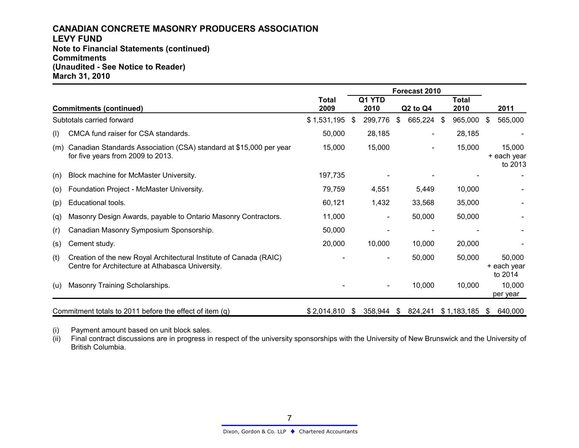#### **CANADIAN CONCRETE MASONRY PRODUCERS ASSOCIATION LEVY FUND Note to Financial Statements (continued) Commitments (Unaudited - See Notice to Reader) March 31, 2010**

|     |                                                                                                                        | Forecast 2010 |      |                |          |                                  |  |               |      |                                  |
|-----|------------------------------------------------------------------------------------------------------------------------|---------------|------|----------------|----------|----------------------------------|--|---------------|------|----------------------------------|
|     | <b>Commitments (continued)</b>                                                                                         | Total<br>2009 |      | Q1 YTD<br>2010 |          | Q <sub>2</sub> to Q <sub>4</sub> |  | Total<br>2010 |      | 2011                             |
|     | Subtotals carried forward                                                                                              | \$1,531,195   | - \$ | 299,776        | \$       | 665,224 \$                       |  | 965,000       | - \$ | 565,000                          |
| (1) | CMCA fund raiser for CSA standards.                                                                                    | 50,000        |      | 28,185         |          |                                  |  | 28,185        |      |                                  |
| (m) | Canadian Standards Association (CSA) standard at \$15,000 per year<br>for five years from 2009 to 2013.                | 15,000        |      | 15,000         |          |                                  |  | 15,000        |      | 15,000<br>+ each year<br>to 2013 |
| (n) | Block machine for McMaster University.                                                                                 | 197,735       |      |                |          |                                  |  |               |      |                                  |
| (0) | Foundation Project - McMaster University.                                                                              | 79,759        |      | 4,551          |          | 5,449                            |  | 10,000        |      |                                  |
| (p) | Educational tools.                                                                                                     | 60,121        |      | 1,432          |          | 33,568                           |  | 35,000        |      |                                  |
| (q) | Masonry Design Awards, payable to Ontario Masonry Contractors.                                                         | 11,000        |      |                |          | 50,000                           |  | 50,000        |      |                                  |
| (r) | Canadian Masonry Symposium Sponsorship.                                                                                | 50,000        |      |                |          |                                  |  |               |      |                                  |
| (s) | Cement study.                                                                                                          | 20,000        |      | 10,000         |          | 10,000                           |  | 20,000        |      |                                  |
| (t) | Creation of the new Royal Architectural Institute of Canada (RAIC)<br>Centre for Architecture at Athabasca University. |               |      |                |          | 50,000                           |  | 50,000        |      | 50,000<br>+ each year<br>to 2014 |
| (u) | Masonry Training Scholarships.                                                                                         |               |      |                |          | 10,000                           |  | 10,000        |      | 10,000<br>per year               |
|     | Commitment totals to 2011 before the effect of item (q)                                                                | \$2,014,810   | \$   | 358,944        | <b>S</b> | 824,241                          |  | \$1,183,185   | -SS  | 640,000                          |

(i) Payment amount based on unit block sales.

(ii) Final contract discussions are in progress in respect of the university sponsorships with the University of New Brunswick and the University of British Columbia.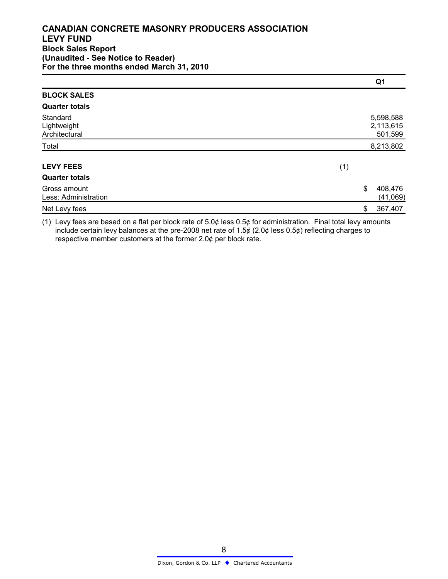#### **CANADIAN CONCRETE MASONRY PRODUCERS ASSOCIATION LEVY FUND Block Sales Report (Unaudited - See Notice to Reader) For the three months ended March 31, 2010**

|                                          |       | Q <sub>1</sub>                    |
|------------------------------------------|-------|-----------------------------------|
| <b>BLOCK SALES</b>                       |       |                                   |
| <b>Quarter totals</b>                    |       |                                   |
| Standard<br>Lightweight<br>Architectural |       | 5,598,588<br>2,113,615<br>501,599 |
| Total                                    |       | 8,213,802                         |
| <b>LEVY FEES</b>                         | (1)   |                                   |
| <b>Quarter totals</b>                    |       |                                   |
| Gross amount<br>Less: Administration     | $\$\$ | 408,476<br>(41,069)               |
| Net Levy fees                            | \$    | 367,407                           |

(1) Levy fees are based on a flat per block rate of  $5.0¢$  less  $0.5¢$  for administration. Final total levy amounts include certain levy balances at the pre-2008 net rate of 1.5¢ (2.0¢ less 0.5¢) reflecting charges to respective member customers at the former 2.0¢ per block rate.